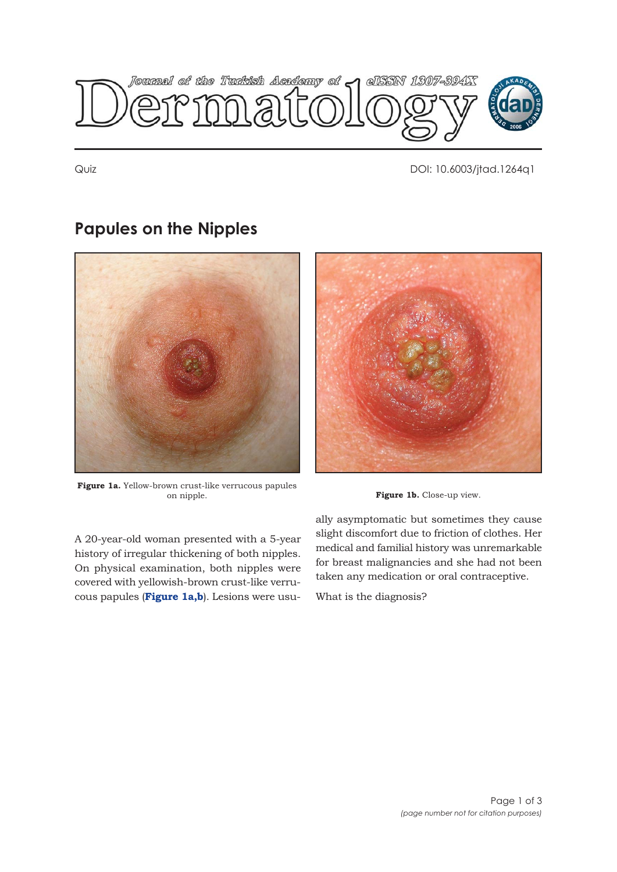

Quiz DOI: 10.6003/jtad.1264q1

# **Papules on the Nipples**



**Figure 1a.** Yellow-brown crust-like verrucous papules



Figure 1b. Close-up view.

A 20-year-old woman presented with a 5-year history of irregular thickening of both nipples. On physical examination, both nipples were covered with yellowish-brown crust-like verrucous papules (**Figure 1a,b**). Lesions were usually asymptomatic but sometimes they cause slight discomfort due to friction of clothes. Her medical and familial history was unremarkable for breast malignancies and she had not been taken any medication or oral contraceptive.

What is the diagnosis?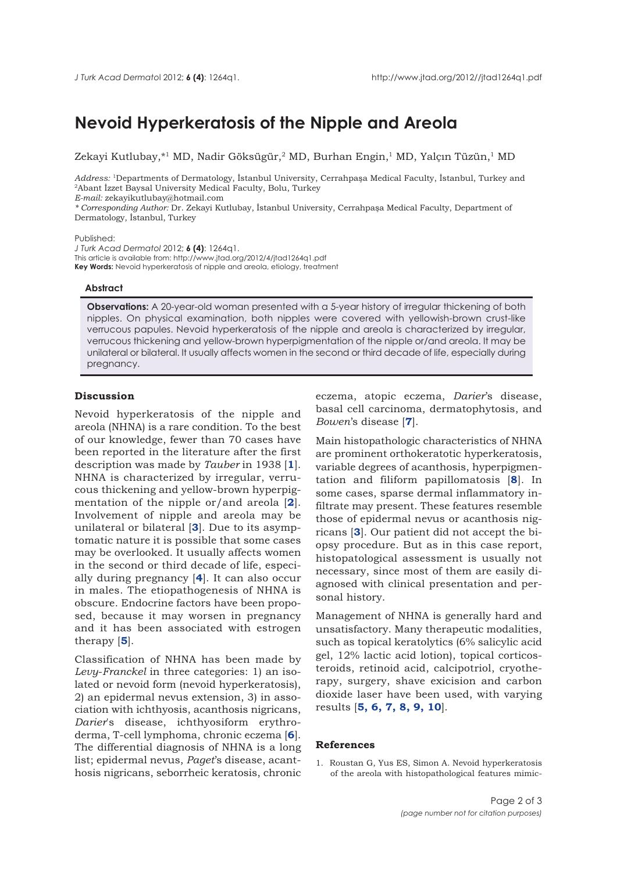## **Nevoid Hyperkeratosis of the Nipple and Areola**

Zekayi Kutlubay, \*<sup>1</sup> MD, Nadir Göksügür, <sup>2</sup> MD, Burhan Engin, <sup>1</sup> MD, Yalçın Tüzün, <sup>1</sup> MD

*Address:* 1Departments of Dermatology, İstanbul University, Cerrahpaşa Medical Faculty, İstanbul, Turkey and 2Abant İzzet Baysal University Medical Faculty, Bolu, Turkey

*E-mail:* zekayikutlubay@hotmail.com

*\* Corresponding Author:* Dr. Zekayi Kutlubay, İstanbul University, Cerrahpaşa Medical Faculty, Department of Dermatology, İstanbul, Turkey

#### Published:

*J Turk Acad Dermatol* 2012; **6 (4)**: 1264q1. This article is available from: http://www.jtad.org/2012/4/jtad1264q1.pdf **Key Words:** Nevoid hyperkeratosis of nipple and areola, etiology, treatment

## **Abstract**

**Observations:** A 20-year-old woman presented with a 5-year history of irregular thickening of both nipples. On physical examination, both nipples were covered with yellowish-brown crust-like verrucous papules. Nevoid hyperkeratosis of the nipple and areola is characterized by irregular, verrucous thickening and yellow-brown hyperpigmentation of the nipple or/and areola. It may be unilateral or bilateral. It usually affects women in the second or third decade of life, especially during pregnancy.

### **Discussion**

Nevoid hyperkeratosis of the nipple and areola (NHNA) is a rare condition. To the best of our knowledge, fewer than 70 cases have been reported in the literature after the first description was made by *Tauber* in 1938 [**1**]. NHNA is characterized by irregular, verrucous thickening and yellow-brown hyperpigmentation of the nipple or/and areola [\[](#page-2-0)**2**]. Involvement of nipple and areola may be unilateral or bilateral [**3**[\].](#page-2-0) Due to its asymptomatic nature it is possible that some cases may be overlooked. It usually affects women in the second or third decade of life, especially during pregnancy [**4**[\].](#page-2-0) It can also occur in males. The etiopathogenesis of NHNA is obscure. Endocrine factors have been proposed, because it may worsen in pregnancy and it has been associated with estrogen therapy [\[](#page-2-0)**5**].

Classification of NHNA has been made by *Levy*-*Franckel* in three categories: 1) an isolated or nevoid form (nevoid hyperkeratosis), 2) an epidermal nevus extension, 3) in association with ichthyosis, acanthosis nigricans, *Darier*'s disease, ichthyosiform erythroderma, T-cell lymphoma, chronic eczema [**6**[\].](#page-2-0) The differential diagnosis of NHNA is a long list; epidermal nevus, *Paget*'s disease, acanthosis nigricans, seborrheic keratosis, chronic

eczema, atopic eczema, *Darier*'s disease, basal cell carcinoma, dermatophytosis, and *Bowen*'s disease [**7**[\].](#page-2-0)

Main histopathologic characteristics of NHNA are prominent orthokeratotic hyperkeratosis, variable degrees of acanthosis, hyperpigmentation and filiform papillomatosis [**8**[\].](#page-2-0) In some cases, sparse dermal inflammatory infiltrate may present. These features resemble those of epidermal nevus or acanthosis nigricans [\[](#page-2-0)**3**]. Our patient did not accept the biopsy procedure. But as in this case report, histopatological assessment is usually not necessary, since most of them are easily diagnosed with clinical presentation and personal history.

Management of NHNA is generally hard and unsatisfactory. Many therapeutic modalities, such as topical keratolytics (6% salicylic acid gel, 12% lactic acid lotion), topical corticosteroids, retinoid acid, calcipotriol, cryotherapy, surgery, shave exicision and carbon dioxide laser have been used, with varying results [**[5, 6, 7, 8, 9, 10](#page-2-0)**].

#### **References**

1. Roustan G, Yus ES, Simon A. Nevoid hyperkeratosis of the areola with histopathological features mimic-